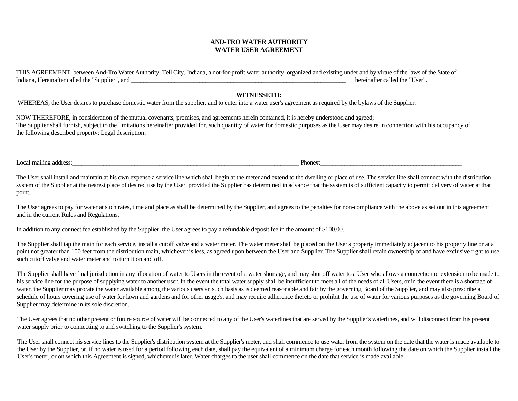## **AND-TRO WATER AUTHORITY WATER USER AGREEMENT**

THIS AGREEMENT, between And-Tro Water Authority, Tell City, Indiana, a not-for-profit water authority, organized and existing under and by virtue of the laws of the State of Indiana, Hereinafter called the "Supplier", and  $\blacksquare$  hereinafter called the "User".

## **WITNESSETH:**

WHEREAS, the User desires to purchase domestic water from the supplier, and to enter into a water user's agreement as required by the bylaws of the Supplier.

NOW THEREFORE, in consideration of the mutual covenants, promises, and agreements herein contained, it is hereby understood and agreed; The Supplier shall furnish, subject to the limitations hereinafter provided for, such quantity of water for domestic purposes as the User may desire in connection with his occupancy of the following described property: Legal description;

Local mailing address:\_\_\_\_\_\_\_\_\_\_\_\_\_\_\_\_\_\_\_\_\_\_\_\_\_\_\_\_\_\_\_\_\_\_\_\_\_\_\_\_\_\_\_\_\_\_\_\_\_\_\_\_\_\_\_\_\_\_\_\_\_\_\_\_\_\_\_\_\_\_\_\_\_ Phone#:\_\_\_\_\_\_\_\_\_\_\_\_\_\_\_\_\_\_\_\_\_\_\_\_\_\_\_\_\_\_\_\_\_\_\_\_\_\_\_\_\_\_\_\_\_\_\_

The User shall install and maintain at his own expense a service line which shall begin at the meter and extend to the dwelling or place of use. The service line shall connect with the distribution system of the Supplier at the nearest place of desired use by the User, provided the Supplier has determined in advance that the system is of sufficient capacity to permit delivery of water at that point.

The User agrees to pay for water at such rates, time and place as shall be determined by the Supplier, and agrees to the penalties for non-compliance with the above as set out in this agreement and in the current Rules and Regulations.

In addition to any connect fee established by the Supplier, the User agrees to pay a refundable deposit fee in the amount of \$100.00.

The Supplier shall tap the main for each service, install a cutoff valve and a water meter. The water meter shall be placed on the User's property immediately adjacent to his property line or at a point not greater than 100 feet from the distribution main, whichever is less, as agreed upon between the User and Supplier. The Supplier shall retain ownership of and have exclusive right to use such cutoff valve and water meter and to turn it on and off.

The Supplier shall have final jurisdiction in any allocation of water to Users in the event of a water shortage, and may shut off water to a User who allows a connection or extension to be made to his service line for the purpose of supplying water to another user. In the event the total water supply shall be insufficient to meet all of the needs of all Users, or in the event there is a shortage of water, the Supplier may prorate the water available among the various users an such basis as is deemed reasonable and fair by the governing Board of the Supplier, and may also prescribe a schedule of hours covering use of water for lawn and gardens and for other usage's, and may require adherence thereto or prohibit the use of water for various purposes as the governing Board of Supplier may determine in its sole discretion.

The User agrees that no other present or future source of water will be connected to any of the User's waterlines that are served by the Supplier's waterlines, and will disconnect from his present water supply prior to connecting to and switching to the Supplier's system.

The User shall connect his service lines to the Supplier's distribution system at the Supplier's meter, and shall commence to use water from the system on the date that the water is made available to the User by the Supplier, or, if no water is used for a period following each date, shall pay the equivalent of a minimum charge for each month following the date on which the Supplier install the User's meter, or on which this Agreement is signed, whichever is later. Water charges to the user shall commence on the date that service is made available.